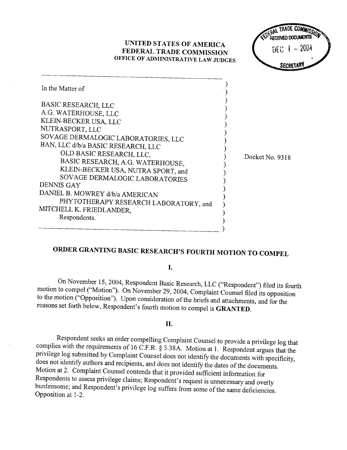## UNITED STATES OF AMERICA FEDERAL TRADE COMMISSION OFFICE OF ADMINISTRATIVE LAW JUDGES



| In the Matter of                      |  |
|---------------------------------------|--|
| <b>BASIC RESEARCH, LLC</b>            |  |
| A.G. WATERHOUSE, LLC                  |  |
| KLEIN-BECKER USA, LLC                 |  |
| NUTRASPORT, LLC                       |  |
| SOVAGE DERMALOGIC LABORATORIES, LLC   |  |
| BAN, LLC d/b/a BASIC RESEARCH, LLC    |  |
| OLD BASIC RESEARCH, LLC,              |  |
| BASIC RESEARCH, A.G. WATERHOUSE,      |  |
| KLEIN-BECKER USA, NUTRA SPORT, and    |  |
| SOVAGE DERMALOGIC LABORATORIES        |  |
| DENNIS GAY                            |  |
| DANIEL B. MOWREY d/b/a AMERICAN       |  |
| PHYTOTHERAPY RESEARCH LABORATORY, and |  |
| MITCHELL K. FRIEDLANDER,              |  |
| Respondents.                          |  |
|                                       |  |

Docket No. 9318

# ORDER GRANTING BASIC RESEARCH'S FOURTH MOTION TO COMPEL

- 1

#### I.

On November 15, 2004, Respondent Basic Research, LLC ("Respondent") filed its fourh motion to compel ("Motion ). On November 29 <sup>2004</sup>, Complaint Counsel filed its opposition to the motion ("Opposition"). Upon consideration of the briefs and attachments, and for the reasons set forth below, Respondent's fourth motion to compel is **GRANTED**.

### II.

Respondent seeks an order compelling Complaint Counsel to provide a privilege log that complies with the requirements of 16 C.F.R.  $\S$  3.38A. Motion at 1. Respondent argues that the privilege log submitted by Complaint Counsel does not identify the documents with specificity, does not identify authors and recipients, and does not identify the dates of the documents. Motion at 2. Complaint Counsel contends that it provided sufficient information for Respondents to assess privilege claims; Respondent's request is unnecessary and overly burdensome; and Respondent's privilege log suffers from some of the same deficiencies. Opposition at 1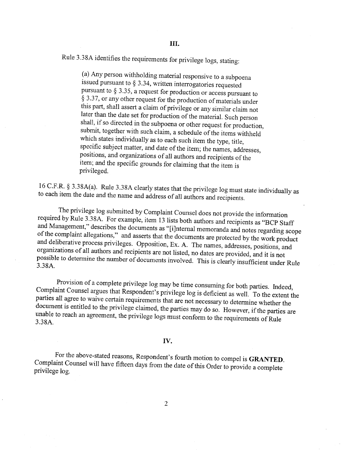Rule 3.38A identifies the requirements for privilege logs, stating:

(a) Any person withholding material responsive to a subpoena issued pursuant to  $\S 3.34$ , written interrogatories requested pursuant to  $\S 3.35$ , a request for production or access pursuant to  $\hat{\S}$  3.37, or any other request for the production of materials under this part, shall assert a claim of privilege or any similar claim not later than the date set for production of the material. Such person shall, if so directed in the subpoena or other request for production submit, together with such claim, a schedule of the items withheld which states individually as to each such item the type, title specific subject matter, and date of the item; the names, addresses positions, and organizations of all authors and recipients of the item; and the specific grounds for claiming that the item is privileged.

16 C.F.R. 93.38A(a). Rule 3.38A clearly states that the privilege log must state individually as to each item the date and the name and address of all authors and recipients.

The privilege log submitted by Complaint Counsel does not provide the information required by Rule 3.38A. For example, item 13 lists both authors and recipients as "BCP Staff" and Management," describes the documents as "[i]nternal memoranda and notes regarding scope of the complaint allegations," and asserts that the documents are protected by the work product and deliberative process privileges. Opposition, Ex. A. The names, addresses, positions, and organizations of all authors and recipients are not listed, no dates are provided, and it is not possible to determine the number of documents involved. This is clearly insufficient under Rule 3.38A.

Provision of a complete privilege log may be time consuming for both paries. Indeed Complaint Counsel argues that Respondent's privilege log is deficient as well. To the extent the parties all agree to waive certain requirements that are not necessary to determine whether the document is entitled to the privilege claimed, the parties may do so. However, if the parties are unable to reach an agreement, the privilege logs must conform to the requirements of Rule 3.38A.

#### IV.

For the above-stated reasons, Respondent's fourth motion to compel is GRANTED.<br>Complaint Counsel will have fifteen days from the date of this Order to provide a complete privilege log.